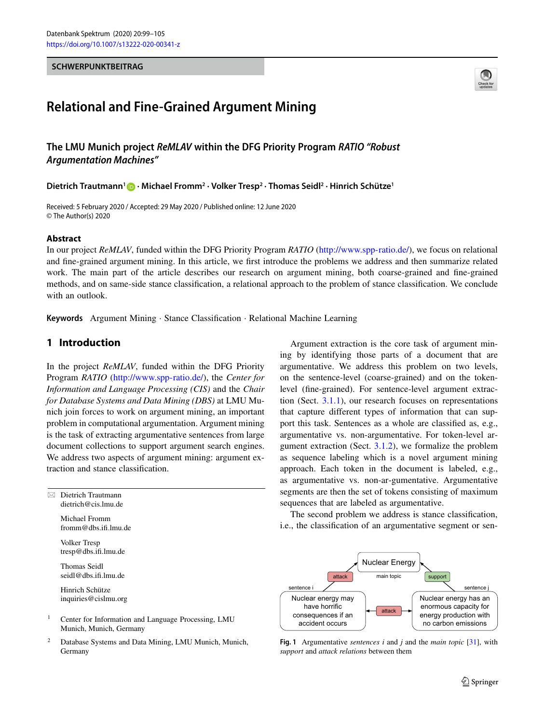#### **SCHWERPUNKTBEITRAG**



# **Relational and Fine-Grained Argument Mining**

**The LMU Munich project** *ReMLAV* **within the DFG Priority Program** *RATIO "Robust Argumentation Machines"*

**Dietrich Trautmann1 · Michael Fromm2 · Volker Tresp2 · Thomas Seidl2 · Hinrich Schütze1**

Received: 5 February 2020 / Accepted: 29 May 2020 / Published online: 12 June 2020 © The Author(s) 2020

#### **Abstract**

In our project *ReMLAV*, funded within the DFG Priority Program *RATIO* [\(http://www.spp-ratio.de/\)](http://www.spp-ratio.de/), we focus on relational and fine-grained argument mining. In this article, we first introduce the problems we address and then summarize related work. The main part of the article describes our research on argument mining, both coarse-grained and fine-grained methods, and on same-side stance classification, a relational approach to the problem of stance classification. We conclude with an outlook.

**Keywords** Argument Mining · Stance Classification · Relational Machine Learning

## **1 Introduction**

In the project *ReMLAV*, funded within the DFG Priority Program *RATIO* [\(http://www.spp-ratio.de/\)](http://www.spp-ratio.de/), the *Center for Information and Language Processing (CIS)* and the *Chair for Database Systems and Data Mining (DBS)* at LMU Munich join forces to work on argument mining, an important problem in computational argumentation. Argument mining is the task of extracting argumentative sentences from large document collections to support argument search engines. We address two aspects of argument mining: argument extraction and stance classification.

- Dietrich Trautmann dietrich@cis.lmu.de Michael Fromm fromm@dbs.ifi.lmu.de Volker Tresp tresp@dbs.ifi.lmu.de Thomas Seidl seidl@dbs.ifi.lmu.de

> Hinrich Schütze inquiries@cislmu.org

<sup>1</sup> Center for Information and Language Processing, LMU Munich, Munich, Germany

<sup>2</sup> Database Systems and Data Mining, LMU Munich, Munich, Germany

Argument extraction is the core task of argument mining by identifying those parts of a document that are argumentative. We address this problem on two levels, on the sentence-level (coarse-grained) and on the tokenlevel (fine-grained). For sentence-level argument extraction (Sect. [3.1.1\)](#page-1-0), our research focuses on representations that capture different types of information that can support this task. Sentences as a whole are classified as, e.g., argumentative vs. non-argumentative. For token-level argument extraction (Sect. [3.1.2\)](#page-3-0), we formalize the problem as sequence labeling which is a novel argument mining approach. Each token in the document is labeled, e.g., as argumentative vs. non-ar-gumentative. Argumentative segments are then the set of tokens consisting of maximum sequences that are labeled as argumentative.

The second problem we address is stance classification, i.e., the classification of an argumentative segment or sen-



<span id="page-0-0"></span>**Fig. 1** Argumentative *sentences i* and *j* and the *main topic* [\[31\]](#page-6-0), with *support* and *attack relations* between them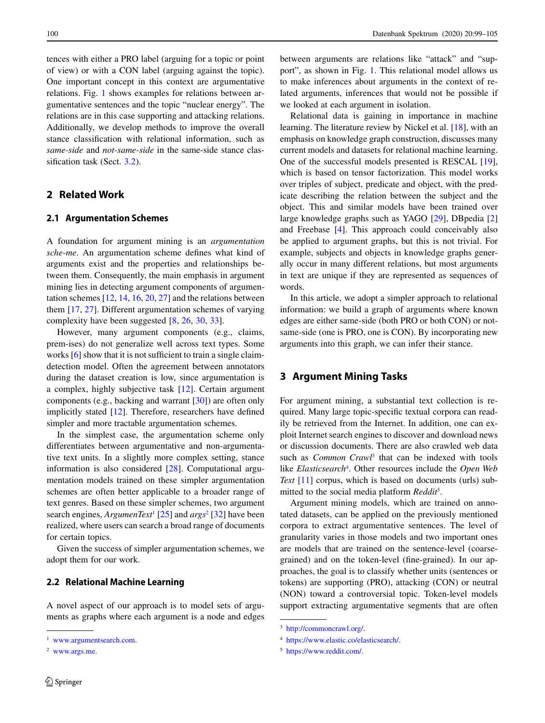tences with either a PRO label (arguing for a topic or point of view) or with a CON label (arguing against the topic). One important concept in this context are argumentative relations. Fig. [1](#page-0-0) shows examples for relations between argumentative sentences and the topic "nuclear energy". The relations are in this case supporting and attacking relations. Additionally, we develop methods to improve the overall stance classification with relational information, such as *same-side* and *not-same-side* in the same-side stance classification task (Sect. [3.2\)](#page-4-0).

## **2 Related Work**

### **2.1 Argumentation Schemes**

A foundation for argument mining is an *argumentation sche-me*. An argumentation scheme defines what kind of arguments exist and the properties and relationships between them. Consequently, the main emphasis in argument mining lies in detecting argument components of argumentation schemes [\[12,](#page-5-0) [14,](#page-5-1) [16,](#page-5-2) [20,](#page-6-1) [27\]](#page-6-2) and the relations between them [\[17,](#page-5-3) [27\]](#page-6-2). Different argumentation schemes of varying complexity have been suggested [\[8,](#page-5-4) [26,](#page-6-3) [30,](#page-6-4) [33\]](#page-6-5).

However, many argument components (e.g., claims, prem-ises) do not generalize well across text types. Some works [\[6\]](#page-5-5) show that it is not sufficient to train a single claimdetection model. Often the agreement between annotators during the dataset creation is low, since argumentation is a complex, highly subjective task [\[12\]](#page-5-0). Certain argument components (e.g., backing and warrant [\[30\]](#page-6-4)) are often only implicitly stated [\[12\]](#page-5-0). Therefore, researchers have defined simpler and more tractable argumentation schemes.

In the simplest case, the argumentation scheme only differentiates between argumentative and non-argumentative text units. In a slightly more complex setting, stance information is also considered [\[28\]](#page-6-6). Computational argumentation models trained on these simpler argumentation schemes are often better applicable to a broader range of text genres. Based on these simpler schemes, two argument search engines, *ArgumenText*[1](#page-1-1) [\[25\]](#page-6-7) and *args*[2](#page-1-2) [\[32\]](#page-6-8) have been realized, where users can search a broad range of documents for certain topics.

Given the success of simpler argumentation schemes, we adopt them for our work.

#### **2.2 Relational Machine Learning**

A novel aspect of our approach is to model sets of arguments as graphs where each argument is a node and edges between arguments are relations like "attack" and "support", as shown in Fig. [1.](#page-0-0) This relational model allows us to make inferences about arguments in the context of related arguments, inferences that would not be possible if we looked at each argument in isolation.

Relational data is gaining in importance in machine learning. The literature review by Nickel et al. [\[18\]](#page-5-6), with an emphasis on knowledge graph construction, discusses many current models and datasets for relational machine learning. One of the successful models presented is RESCAL [\[19\]](#page-5-7), which is based on tensor factorization. This model works over triples of subject, predicate and object, with the predicate describing the relation between the subject and the object. This and similar models have been trained over large knowledge graphs such as YAGO [\[29\]](#page-6-9), DBpedia [\[2\]](#page-5-8) and Freebase [\[4\]](#page-5-9). This approach could conceivably also be applied to argument graphs, but this is not trivial. For example, subjects and objects in knowledge graphs generally occur in many different relations, but most arguments in text are unique if they are represented as sequences of words.

In this article, we adopt a simpler approach to relational information: we build a graph of arguments where known edges are either same-side (both PRO or both CON) or notsame-side (one is PRO, one is CON). By incorporating new arguments into this graph, we can infer their stance.

## **3 Argument Mining Tasks**

For argument mining, a substantial text collection is required. Many large topic-specific textual corpora can readily be retrieved from the Internet. In addition, one can exploit Internet search engines to discover and download news or discussion documents. There are also crawled web data such as *Common Crawl*[3](#page-1-3) that can be indexed with tools like *Elasticsearch*<sup>4</sup>. Other resources include the *Open Web Text* [\[11\]](#page-5-10) corpus, which is based on documents (urls) submitted to the social media platform *Reddit*[5](#page-1-0) .

Argument mining models, which are trained on annotated datasets, can be applied on the previously mentioned corpora to extract argumentative sentences. The level of granularity varies in those models and two important ones are models that are trained on the sentence-level (coarsegrained) and on the token-level (fine-grained). In our approaches, the goal is to classify whether units (sentences or tokens) are supporting (PRO), attacking (CON) or neutral (NON) toward a controversial topic. Token-level models support extracting argumentative segments that are often

<span id="page-1-2"></span><span id="page-1-1"></span><sup>1</sup> [www.argumentsearch.com.](http://www.argumentsearch.com)

<sup>2</sup> [www.args.me.](http://www.args.me)

<span id="page-1-4"></span><span id="page-1-3"></span><sup>3</sup> [http://commoncrawl.org/.](http://commoncrawl.org/)

<span id="page-1-0"></span><sup>4</sup> [https://www.elastic.co/elasticsearch/.](https://www.elastic.co/elasticsearch/)

<sup>5</sup> [https://www.reddit.com/.](https://www.reddit.com/)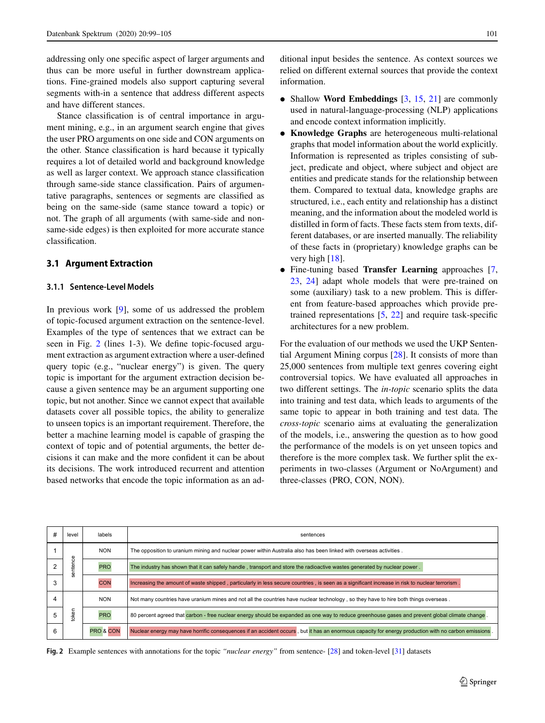addressing only one specific aspect of larger arguments and thus can be more useful in further downstream applications. Fine-grained models also support capturing several segments with-in a sentence that address different aspects and have different stances.

Stance classification is of central importance in argument mining, e.g., in an argument search engine that gives the user PRO arguments on one side and CON arguments on the other. Stance classification is hard because it typically requires a lot of detailed world and background knowledge as well as larger context. We approach stance classification through same-side stance classification. Pairs of argumentative paragraphs, sentences or segments are classified as being on the same-side (same stance toward a topic) or not. The graph of all arguments (with same-side and nonsame-side edges) is then exploited for more accurate stance classification.

## **3.1 Argument Extraction**

#### **3.1.1 Sentence-Level Models**

In previous work [\[9\]](#page-5-11), some of us addressed the problem of topic-focused argument extraction on the sentence-level. Examples of the type of sentences that we extract can be seen in Fig. [2](#page-2-0) (lines 1-3). We define topic-focused argument extraction as argument extraction where a user-defined query topic (e.g., "nuclear energy") is given. The query topic is important for the argument extraction decision because a given sentence may be an argument supporting one topic, but not another. Since we cannot expect that available datasets cover all possible topics, the ability to generalize to unseen topics is an important requirement. Therefore, the better a machine learning model is capable of grasping the context of topic and of potential arguments, the better decisions it can make and the more confident it can be about its decisions. The work introduced recurrent and attention based networks that encode the topic information as an additional input besides the sentence. As context sources we relied on different external sources that provide the context information.

- Shallow **Word Embeddings** [\[3,](#page-5-12) [15,](#page-5-13) [21\]](#page-6-10) are commonly used in natural-language-processing (NLP) applications and encode context information implicitly.
- $\bullet$  **Knowledge Graphs** are heterogeneous multi-relational graphs that model information about the world explicitly. Information is represented as triples consisting of subject, predicate and object, where subject and object are entities and predicate stands for the relationship between them. Compared to textual data, knowledge graphs are structured, i.e., each entity and relationship has a distinct meaning, and the information about the modeled world is distilled in form of facts. These facts stem from texts, different databases, or are inserted manually. The reliability of these facts in (proprietary) knowledge graphs can be very high [\[18\]](#page-5-6).
- $\bullet$  Fine-tuning based **Transfer Learning** approaches [\[7,](#page-5-14) [23,](#page-6-11) [24\]](#page-6-12) adapt whole models that were pre-trained on some (auxiliary) task to a new problem. This is different from feature-based approaches which provide pretrained representations [\[5,](#page-5-15) [22\]](#page-6-13) and require task-specific architectures for a new problem.

For the evaluation of our methods we used the UKP Sentential Argument Mining corpus [\[28\]](#page-6-6). It consists of more than 25,000 sentences from multiple text genres covering eight controversial topics. We have evaluated all approaches in two different settings. The *in-topic* scenario splits the data into training and test data, which leads to arguments of the same topic to appear in both training and test data. The *cross-topic* scenario aims at evaluating the generalization of the models, i.e., answering the question as to how good the performance of the models is on yet unseen topics and therefore is the more complex task. We further split the experiments in two-classes (Argument or NoArgument) and three-classes (PRO, CON, NON).

| # | level | labels               | sentences                                                                                                                                            |  |  |
|---|-------|----------------------|------------------------------------------------------------------------------------------------------------------------------------------------------|--|--|
|   |       | <b>NON</b>           | The opposition to uranium mining and nuclear power within Australia also has been linked with overseas activities.                                   |  |  |
|   | sente | <b>PRO</b>           | The industry has shown that it can safely handle, transport and store the radioactive wastes generated by nuclear power.                             |  |  |
|   |       | <b>CON</b>           | Increasing the amount of waste shipped, particularly in less secure countries, is seen as a significant increase in risk to nuclear terrorism.       |  |  |
|   | okei  | <b>NON</b>           | Not many countries have uranium mines and not all the countries have nuclear technology, so they have to hire both things overseas.                  |  |  |
|   |       | <b>PRO</b>           | 80 percent agreed that carbon - free nuclear energy should be expanded as one way to reduce greenhouse gases and prevent global climate change.      |  |  |
|   |       | <b>PRO &amp; CON</b> | Nuclear energy may have horrific consequences if an accident occurs, but it has an enormous capacity for energy production with no carbon emissions. |  |  |

<span id="page-2-0"></span>**Fig. 2** Example sentences with annotations for the topic *"nuclear energy"* from sentence- [\[28\]](#page-6-6) and token-level [\[31\]](#page-6-0) datasets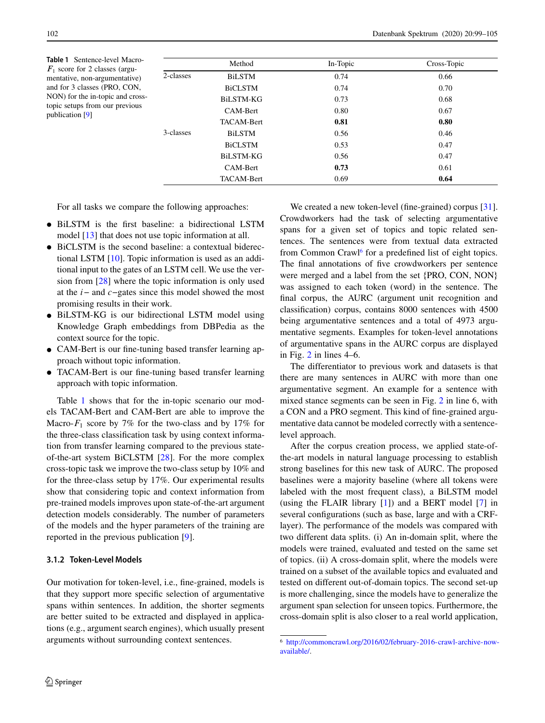<span id="page-3-0"></span>**Table 1** Sentence-level Macro- $F_1$  score for 2 classes (argumentative, non-argumentative) and for 3 classes (PRO, CON, NON) for the in-topic and crosstopic setups from our previous publication [\[9\]](#page-5-11)

|           | Method            | In-Topic | Cross-Topic |
|-----------|-------------------|----------|-------------|
| 2-classes | <b>BiLSTM</b>     | 0.74     | 0.66        |
|           | <b>BiCLSTM</b>    | 0.74     | 0.70        |
|           | BiLSTM-KG         | 0.73     | 0.68        |
|           | CAM-Bert          | 0.80     | 0.67        |
|           | <b>TACAM-Bert</b> | 0.81     | 0.80        |
| 3-classes | <b>BiLSTM</b>     | 0.56     | 0.46        |
|           | <b>BiCLSTM</b>    | 0.53     | 0.47        |
|           | <b>BiLSTM-KG</b>  | 0.56     | 0.47        |
|           | CAM-Bert          | 0.73     | 0.61        |
|           | <b>TACAM-Bert</b> | 0.69     | 0.64        |

For all tasks we compare the following approaches:

- BiLSTM is the first baseline: a bidirectional LSTM model [\[13\]](#page-5-16) that does not use topic information at all.
- BiCLSTM is the second baseline: a contextual biderectional LSTM [\[10\]](#page-5-17). Topic information is used as an additional input to the gates of an LSTM cell. We use the version from [\[28\]](#page-6-6) where the topic information is only used at the i− and c−gates since this model showed the most promising results in their work.
- BiLSTM-KG is our bidirectional LSTM model using Knowledge Graph embeddings from DBPedia as the context source for the topic.
- CAM-Bert is our fine-tuning based transfer learning approach without topic information.
- TACAM-Bert is our fine-tuning based transfer learning approach with topic information.

Table [1](#page-3-0) shows that for the in-topic scenario our models TACAM-Bert and CAM-Bert are able to improve the Macro- $F_1$  score by 7% for the two-class and by 17% for the three-class classification task by using context information from transfer learning compared to the previous stateof-the-art system BiCLSTM [\[28\]](#page-6-6). For the more complex cross-topic task we improve the two-class setup by 10% and for the three-class setup by 17%. Our experimental results show that considering topic and context information from pre-trained models improves upon state-of-the-art argument detection models considerably. The number of parameters of the models and the hyper parameters of the training are reported in the previous publication [\[9\]](#page-5-11).

#### **3.1.2 Token-Level Models**

Our motivation for token-level, i.e., fine-grained, models is that they support more specific selection of argumentative spans within sentences. In addition, the shorter segments are better suited to be extracted and displayed in applications (e.g., argument search engines), which usually present arguments without surrounding context sentences.

We created a new token-level (fine-grained) corpus [\[31\]](#page-6-0). Crowdworkers had the task of selecting argumentative spans for a given set of topics and topic related sentences. The sentences were from textual data extracted from Common Crawl<sup>6</sup> for a predefined list of eight topics. The final annotations of five crowdworkers per sentence were merged and a label from the set {PRO, CON, NON} was assigned to each token (word) in the sentence. The final corpus, the AURC (argument unit recognition and classification) corpus, contains 8000 sentences with 4500 being argumentative sentences and a total of 4973 argumentative segments. Examples for token-level annotations of argumentative spans in the AURC corpus are displayed in Fig. [2](#page-2-0) in lines 4–6.

The differentiator to previous work and datasets is that there are many sentences in AURC with more than one argumentative segment. An example for a sentence with mixed stance segments can be seen in Fig. [2](#page-2-0) in line 6, with a CON and a PRO segment. This kind of fine-grained argumentative data cannot be modeled correctly with a sentencelevel approach.

After the corpus creation process, we applied state-ofthe-art models in natural language processing to establish strong baselines for this new task of AURC. The proposed baselines were a majority baseline (where all tokens were labeled with the most frequent class), a BiLSTM model (using the FLAIR library [\[1\]](#page-5-18)) and a BERT model [\[7\]](#page-5-14) in several configurations (such as base, large and with a CRFlayer). The performance of the models was compared with two different data splits. (i) An in-domain split, where the models were trained, evaluated and tested on the same set of topics. (ii) A cross-domain split, where the models were trained on a subset of the available topics and evaluated and tested on different out-of-domain topics. The second set-up is more challenging, since the models have to generalize the argument span selection for unseen topics. Furthermore, the cross-domain split is also closer to a real world application,

<span id="page-3-1"></span><sup>6</sup> [http://commoncrawl.org/2016/02/february-2016-crawl-archive-now](http://commoncrawl.org/2016/02/february-2016-crawl-archive-now-available/)[available/.](http://commoncrawl.org/2016/02/february-2016-crawl-archive-now-available/)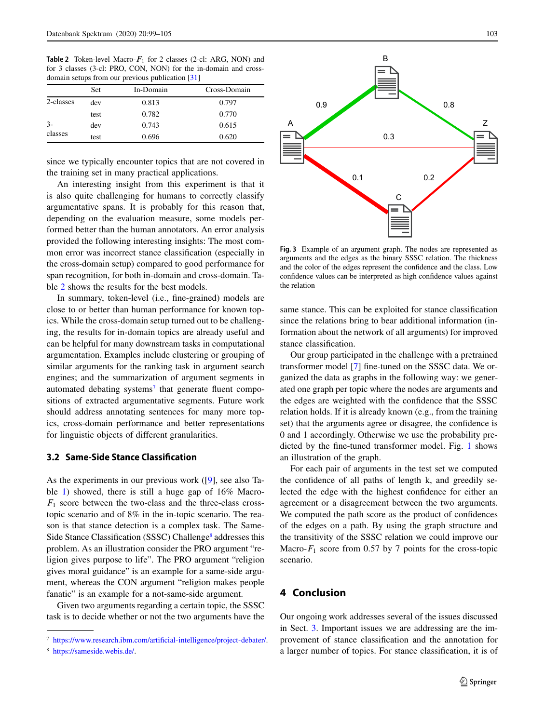**Table 2** Token-level Macro- $F_1$  for 2 classes (2-cl: ARG, NON) and for 3 classes (3-cl: PRO, CON, NON) for the in-domain and crossdomain setups from our previous publication [\[31\]](#page-6-0)

<span id="page-4-0"></span>

|           | Set  | In-Domain | Cross-Domain |
|-----------|------|-----------|--------------|
| 2-classes | dev  | 0.813     | 0.797        |
|           | test | 0.782     | 0.770        |
| $3-$      | dev  | 0.743     | 0.615        |
| classes   | test | 0.696     | 0.620        |

since we typically encounter topics that are not covered in the training set in many practical applications.

An interesting insight from this experiment is that it is also quite challenging for humans to correctly classify argumentative spans. It is probably for this reason that, depending on the evaluation measure, some models performed better than the human annotators. An error analysis provided the following interesting insights: The most common error was incorrect stance classification (especially in the cross-domain setup) compared to good performance for span recognition, for both in-domain and cross-domain. Table [2](#page-4-0) shows the results for the best models.

In summary, token-level (i.e., fine-grained) models are close to or better than human performance for known topics. While the cross-domain setup turned out to be challenging, the results for in-domain topics are already useful and can be helpful for many downstream tasks in computational argumentation. Examples include clustering or grouping of similar arguments for the ranking task in argument search engines; and the summarization of argument segments in automated debating systems<sup>7</sup> that generate fluent compositions of extracted argumentative segments. Future work should address annotating sentences for many more topics, cross-domain performance and better representations for linguistic objects of different granularities.

#### **3.2 Same-Side Stance Classification**

As the experiments in our previous work ([\[9\]](#page-5-11), see also Table [1\)](#page-3-0) showed, there is still a huge gap of 16% Macro- $F_1$  score between the two-class and the three-class crosstopic scenario and of 8% in the in-topic scenario. The reason is that stance detection is a complex task. The Same-Side Stance Classification (SSSC) Challenge<sup>8</sup> addresses this problem. As an illustration consider the PRO argument "religion gives purpose to life". The PRO argument "religion gives moral guidance" is an example for a same-side argument, whereas the CON argument "religion makes people fanatic" is an example for a not-same-side argument.

Given two arguments regarding a certain topic, the SSSC task is to decide whether or not the two arguments have the



**Fig. 3** Example of an argument graph. The nodes are represented as arguments and the edges as the binary SSSC relation. The thickness and the color of the edges represent the confidence and the class. Low confidence values can be interpreted as high confidence values against the relation

same stance. This can be exploited for stance classification since the relations bring to bear additional information (information about the network of all arguments) for improved stance classification.

Our group participated in the challenge with a pretrained transformer model [\[7\]](#page-5-14) fine-tuned on the SSSC data. We organized the data as graphs in the following way: we generated one graph per topic where the nodes are arguments and the edges are weighted with the confidence that the SSSC relation holds. If it is already known (e.g., from the training set) that the arguments agree or disagree, the confidence is 0 and 1 accordingly. Otherwise we use the probability predicted by the fine-tuned transformer model. Fig. [1](#page-3-0) shows an illustration of the graph.

For each pair of arguments in the test set we computed the confidence of all paths of length k, and greedily selected the edge with the highest confidence for either an agreement or a disagreement between the two arguments. We computed the path score as the product of confidences of the edges on a path. By using the graph structure and the transitivity of the SSSC relation we could improve our Macro- $F_1$  score from 0.57 by 7 points for the cross-topic scenario.

## **4 Conclusion**

Our ongoing work addresses several of the issues discussed in Sect. [3.](#page-1-2) Important issues we are addressing are the improvement of stance classification and the annotation for a larger number of topics. For stance classification, it is of

<span id="page-4-2"></span><span id="page-4-1"></span><sup>7</sup> [https://www.research.ibm.com/artificial-intelligence/project-debater/.](https://www.research.ibm.com/artificial-intelligence/project-debater/)

<sup>8</sup> [https://sameside.webis.de/.](https://sameside.webis.de/)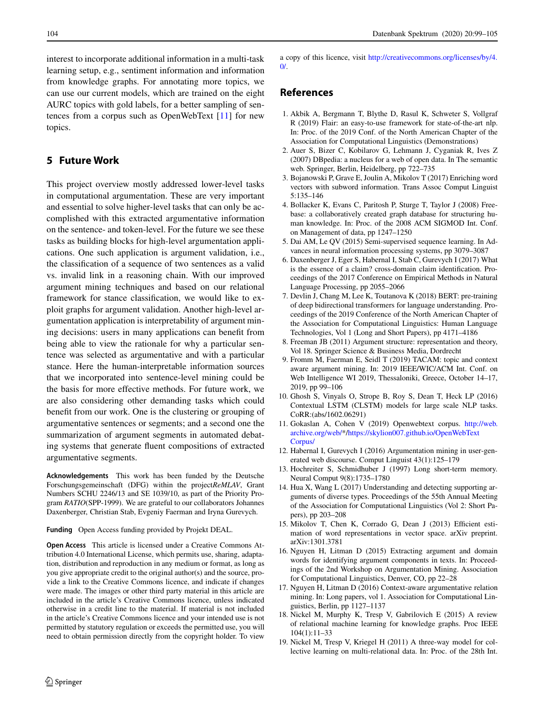interest to incorporate additional information in a multi-task learning setup, e.g., sentiment information and information from knowledge graphs. For annotating more topics, we can use our current models, which are trained on the eight AURC topics with gold labels, for a better sampling of sentences from a corpus such as OpenWebText [\[11\]](#page-5-10) for new topics.

# **5 Future Work**

This project overview mostly addressed lower-level tasks in computational argumentation. These are very important and essential to solve higher-level tasks that can only be accomplished with this extracted argumentative information on the sentence- and token-level. For the future we see these tasks as building blocks for high-level argumentation applications. One such application is argument validation, i.e., the classification of a sequence of two sentences as a valid vs. invalid link in a reasoning chain. With our improved argument mining techniques and based on our relational framework for stance classification, we would like to exploit graphs for argument validation. Another high-level argumentation application is interpretability of argument mining decisions: users in many applications can benefit from being able to view the rationale for why a particular sentence was selected as argumentative and with a particular stance. Here the human-interpretable information sources that we incorporated into sentence-level mining could be the basis for more effective methods. For future work, we are also considering other demanding tasks which could benefit from our work. One is the clustering or grouping of argumentative sentences or segments; and a second one the summarization of argument segments in automated debating systems that generate fluent compositions of extracted argumentative segments.

**Acknowledgements** This work has been funded by the Deutsche Forschungsgemeinschaft (DFG) within the project*ReMLAV*, Grant Numbers SCHU 2246/13 and SE 1039/10, as part of the Priority Program *RATIO*(SPP-1999). We are grateful to our collaborators Johannes Daxenberger, Christian Stab, Evgeniy Faerman and Iryna Gurevych.

**Funding** Open Access funding provided by Projekt DEAL.

**Open Access** This article is licensed under a Creative Commons Attribution 4.0 International License, which permits use, sharing, adaptation, distribution and reproduction in any medium or format, as long as you give appropriate credit to the original author(s) and the source, provide a link to the Creative Commons licence, and indicate if changes were made. The images or other third party material in this article are included in the article's Creative Commons licence, unless indicated otherwise in a credit line to the material. If material is not included in the article's Creative Commons licence and your intended use is not permitted by statutory regulation or exceeds the permitted use, you will need to obtain permission directly from the copyright holder. To view

a copy of this licence, visit [http://creativecommons.org/licenses/by/4.](http://creativecommons.org/licenses/by/4.0/)  $0/$ .

## <span id="page-5-18"></span>**References**

- 1. Akbik A, Bergmann T, Blythe D, Rasul K, Schweter S, Vollgraf R (2019) Flair: an easy-to-use framework for state-of-the-art nlp. In: Proc. of the 2019 Conf. of the North American Chapter of the Association for Computational Linguistics (Demonstrations)
- <span id="page-5-8"></span>2. Auer S, Bizer C, Kobilarov G, Lehmann J, Cyganiak R, Ives Z (2007) DBpedia: a nucleus for a web of open data. In The semantic web. Springer, Berlin, Heidelberg, pp 722–735
- <span id="page-5-12"></span>3. Bojanowski P, Grave E, Joulin A, Mikolov T (2017) Enriching word vectors with subword information. Trans Assoc Comput Linguist 5:135–146
- <span id="page-5-9"></span>4. Bollacker K, Evans C, Paritosh P, Sturge T, Taylor J (2008) Freebase: a collaboratively created graph database for structuring human knowledge. In: Proc. of the 2008 ACM SIGMOD Int. Conf. on Management of data, pp 1247–1250
- <span id="page-5-15"></span><span id="page-5-5"></span>5. Dai AM, Le QV (2015) Semi-supervised sequence learning. In Advances in neural information processing systems, pp 3079–3087
- 6. Daxenberger J, Eger S, Habernal I, Stab C, Gurevych I (2017) What is the essence of a claim? cross-domain claim identification. Proceedings of the 2017 Conference on Empirical Methods in Natural Language Processing, pp 2055–2066
- <span id="page-5-14"></span>7. Devlin J, Chang M, Lee K, Toutanova K (2018) BERT: pre-training of deep bidirectional transformers for language understanding. Proceedings of the 2019 Conference of the North American Chapter of the Association for Computational Linguistics: Human Language Technologies, Vol 1 (Long and Short Papers), pp 4171–4186
- <span id="page-5-11"></span><span id="page-5-4"></span>8. Freeman JB (2011) Argument structure: representation and theory, Vol 18. Springer Science & Business Media, Dordrecht
- 9. Fromm M, Faerman E, Seidl T (2019) TACAM: topic and context aware argument mining. In: 2019 IEEE/WIC/ACM Int. Conf. on Web Intelligence WI 2019, Thessaloniki, Greece, October 14–17, 2019, pp 99–106
- <span id="page-5-17"></span>10. Ghosh S, Vinyals O, Strope B, Roy S, Dean T, Heck LP (2016) Contextual LSTM (CLSTM) models for large scale NLP tasks. CoRR:(abs/1602.06291)
- <span id="page-5-10"></span>11. Gokaslan A, Cohen V (2019) Openwebtext corpus. [http://web.](http://web.archive.org/web/) [archive.org/web/\\*](http://web.archive.org/web/)[/https://skylion007.github.io/OpenWebText](https://skylion007.github.io/OpenWebTextCorpus/) [Corpus/](https://skylion007.github.io/OpenWebTextCorpus/)
- <span id="page-5-16"></span><span id="page-5-0"></span>12. Habernal I, Gurevych I (2016) Argumentation mining in user-generated web discourse. Comput Linguist 43(1):125–179
- <span id="page-5-1"></span>13. Hochreiter S, Schmidhuber J (1997) Long short-term memory. Neural Comput 9(8):1735–1780
- 14. Hua X, Wang L (2017) Understanding and detecting supporting arguments of diverse types. Proceedings of the 55th Annual Meeting of the Association for Computational Linguistics (Vol 2: Short Papers), pp 203–208
- <span id="page-5-13"></span>15. Mikolov T, Chen K, Corrado G, Dean J (2013) Efficient estimation of word representations in vector space. arXiv preprint. arXiv:1301.3781
- <span id="page-5-2"></span>16. Nguyen H, Litman D (2015) Extracting argument and domain words for identifying argument components in texts. In: Proceedings of the 2nd Workshop on Argumentation Mining. Association for Computational Linguistics, Denver, CO, pp 22–28
- <span id="page-5-3"></span>17. Nguyen H, Litman D (2016) Context-aware argumentative relation mining. In: Long papers, vol 1. Association for Computational Linguistics, Berlin, pp 1127–1137
- <span id="page-5-6"></span>18. Nickel M, Murphy K, Tresp V, Gabrilovich E (2015) A review of relational machine learning for knowledge graphs. Proc IEEE 104(1):11–33
- <span id="page-5-7"></span>19. Nickel M, Tresp V, Kriegel H (2011) A three-way model for collective learning on multi-relational data. In: Proc. of the 28th Int.